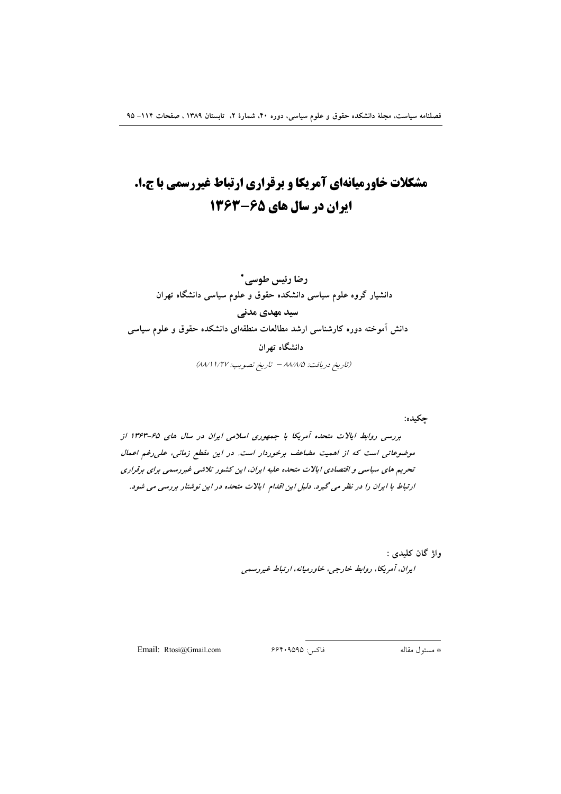# **مشکلات خاورمیانهای آمریکا و برقراری ارتباط غیررسمی با ج.ا.** ایران در سال های ۶۵-۱۳۶۳

رضا رئيس طوسي \* دانشیار گروه علوم سیاسی دانشکده حقوق و علوم سیاسی دانشگاه تهران سید مهدی مدنی دانش آموخته دوره کارشناسی ارشد مطالعات منطقهای دانشکده حقوق و علوم سیاسی دانشگاه تهران (تاريخ دريافت: ٨٨/٨/٥ - تاريخ تصويب: ١/٢٧ ٨٨/١)

چکیده: بررسی روابط ایالات متحده آمریکا با جمهوری اسلامی ایران در سال های ۶۵-۱۳۶۳ از موضوعاتی است که از اهمیت مضاعف برخوردار است. در این مقطع زمانی، علی رغم اعمال تحریم های سیاسی و اقتصادی ایالات متحده علیه ایران، این کشور تلاشی غیررسمی برای برقراری ارتباط با ایران را در نظر می گیرد. دلیل این اقدام ایالات متحده در این نوشتار بررسی می شود.

> واژ گان کليدي : ايران، آمريكا، روابط خارجي، خاورميانه، ارتباط غيررسمي

Email: Rtosi@Gmail.com

فاكس: ۶۶۴۰۹۵۹۵

\* مسئول مقاله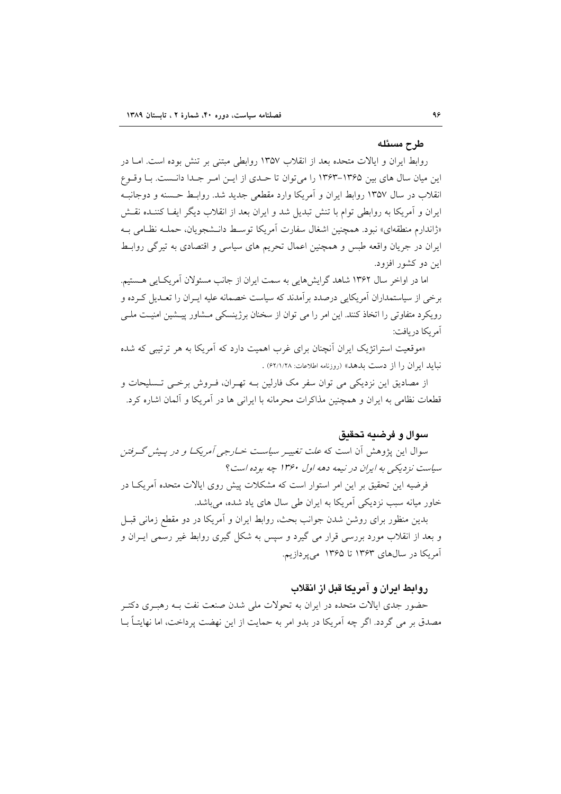### طرح مسئله

روابط ایران و ایالات متحده بعد از انقلاب ۱۳۵۷ روابطی مبتنی بر تنش بوده است. امــا در این میان سال های بین ۱۳۶۵–۱۳۶۳ را میتوان تا حـدی از ایـن امـر جـدا دانـست. بـا وقـوع انقلاب در سال ۱۳۵۷ روابط ایران و آمریکا وارد مقطعی جدید شد. روابـط حـسنه و دوجانبـه ایران و آمریکا به روابطی توام با تنش تبدیل شد و ایران بعد از انقلاب دیگر ایفI کننـده نقـش «ژاندارم منطقهای» نبود. همچنین اشغال سفارت آمریکا توسط دانـشجویان، حملـه نظـامی بـه ایران در جریان واقعه طبس و همچنین اعمال تحریم های سیاسی و اقتصادی به تیرگی روابط این دو کشور افزود.

اما در اواخر سال ۱۳۶۲ شاهد گرایشهایی به سمت ایران از جانب مسئولان آمریکایی هسستیم. برخی از سیاستمداران آمریکایی درصدد بر آمدند که سیاست خصمانه علیه ایـران را تعـدیل کـرده و رویکرد متفاوتی را اتخاذ کنند. این امر را می توان از سخنان برژینسکی مــشاور پیــشین امنیــت ملــی آمر یکا در بافت:

«موقعیت استراتژیک ایران اَنچنان برای غرب اهمیت دارد که اَمریکا به هر ترتیبی که شده نبايد ايران را از دست بدهد» (روزنامه اطلاعات: ۶۲/۱/۲۸) .

از مصادیق این نزدیکی می توان سفر مک فارلین بـه تهـران، فـروش برخـی تـسلیحات و قطعات نظامی به ایران و همچنین مذاکرات محرمانه با ایرانی ها در آمریکا و آلمان اشاره کرد.

### سوال و فرضيه تحقيق

سوال این پژوهش آن است که *علت تغییـر سیاسـت خــارجی آمریکــا و در پـیش گــرفتن* سیاست نزدیکی به ایران در نیمه دهه اول ۱۳۶۰ چه بوده است؟

فرضیه این تحقیق بر این امر استوار است که مشکلات پیش روی ایالات متحده آمریک در خاور میانه سبب نزدیکی آمریکا به ایران طی سال های یاد شده، می باشد.

بدین منظور برای روشن شدن جوانب بحث، روابط ایران و آمریکا در دو مقطع زمانی قبـل و بعد از انقلاب مورد بررسی قرار می گیرد و سپس به شکل گیری روابط غیر رسمی ایــران و آمریکا در سالهای ۱۳۶۳ تا ۱۳۶۵ می پردازیم.

# روابط ايران و آمريكا قبل از انقلاب

حضور جدی ایالات متحده در ایران به تحولات ملی شدن صنعت نفت بـه رهبـری دکتـر مصدق بر می گردد. اگر چه آمریکا در بدو امر به حمایت از این نهضت پرداخت، اما نهایتــاً بــا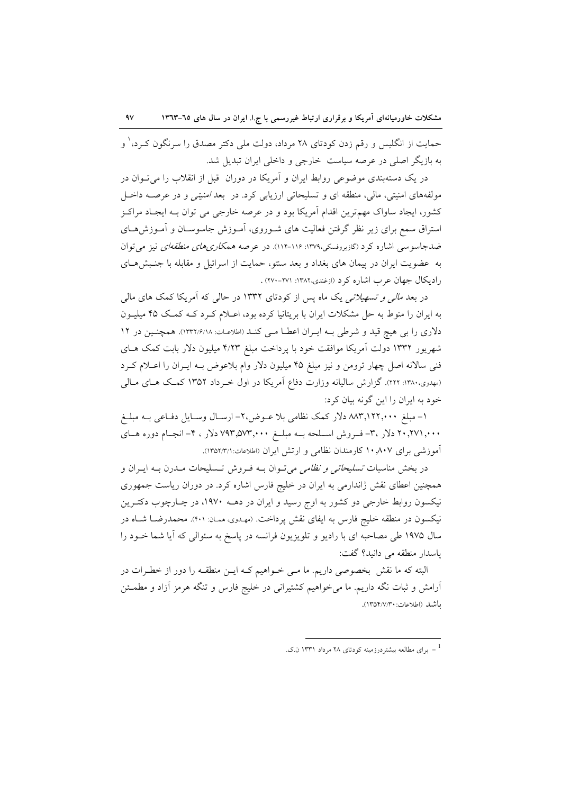حمایت از انگلیس و رقم زدن کودتای ۲۸ مرداد، دولت ملی دکتر مصدق را سرنگون کـرد،<sup>۱</sup> و به بازیگر اصلی در عرصه سیاست خارجی و داخلی ایران تبدیل شد.

در یک دستهبندی موضوعی روابط ایران و آمریکا در دوران قبل از انقلاب را می تــوان در مولفههای امنیتی، مالی، منطقه ای و تسلیحاتی ارزیابی کرد. در بعد *امنیتی و* در عرصـه داخـل كشور، ايجاد ساواك مهمترين اقدام آمريكا بود و در عرصه خارجي مي توان بـه ايجـاد مراكـز استراق سمع برای زیر نظر گرفتن فعالیت های شـوروی، امـوزش جاسوســان و امـوزش۵حـای ضدجاسوسی اشاره کرد (گازیروفسکی،۱۳۷۹: ۱۱۶-۱۱۴). در عرصه *همکاریهای منطقهای* نیز میتوان به عضويت ايران در پيمان هاي بغداد و بعد سنتو، حمايت از اسرائيل و مقابله با جنـبش هــاي رادیکال جهان عرب اشاره کرد (ازغندی،۱۳۸۲: ۲۷۱-۲۷۰) .

در بعد *مالی و تسهیلاتی ی*ک ماه پس از کودتای ۱۳۳۲ در حال<sub>ی</sub> که آمریکا کمک های مال<sub>ی</sub> به ایران را منوط به حل مشکلات ایران با بریتانیا کرده بود، اعـلام کـرد کــه کمـک ۴۵ میلیـون دلاری را بی هیچ قید و شرطی بـه ایـران اعطـا مـی کنـد (اطلاعـات: ١٣٣١/۶/١٨). همچنـین در ١٢ شهریور ۱۳۳۲ دولت امریکا موافقت خود با پرداخت مبلغ ۴/۲۳ میلیون دلار بابت کمک هـای فنی سالانه اصل چهار ترومن و نیز مبلغ ۴۵ میلیون دلار وام بلاعوض بــه ایــران را اعــلام کــرد (مهدوی،۱۳۸۰: ۲۲۲). گزارش سالیانه وزارت دفاع امریکا در اول خــرداد ۱۳۵۲ کمــک هــای مــالی خود به ایران را این گونه بیان کرد:

۱– مبلغ ۸۸۳٬۱۲۲٫۰۰۰ دلار کمک نظامی بلا عــوض،۲– ارســال وســايل دفــاعی بــه مبلــغ ۲۰٫۲۷۱٫۰۰۰ دلار ۳. تورش اســلحه بــه مبلــغ ۷۹۳٬۵۷۳٫۰۰۰ دلار ، ۴- انجــام دوره هــای آموزشی برای ۱۰٫۸۰۷ کارمندان نظامی و ارتش ایران (اطلاعات:۱۳۵۲/۳/۱).

در بخش مناسبات *تسلیحاتی و نظامی می*تـوان بــه فـروش تــسلیحات مــدرن بــه ایــران و همچنین اعطای نقش ژاندارمی به ایران در خلیج فارس اشاره کرد. در دوران ریاست جمهوری نیکسون روابط خارجی دو کشور به اوج رسید و ایران در دهــه ۱۹۷۰، در چـارچوب دکتـرین نیکسون در منطقه خلیج فارس به ایفای نقش پرداخت. (مهـدوی، همـان: ۴۰۱). محمدرضــا شــاه در سال ۱۹۷۵ طی مصاحبه ای با رادیو و تلویزیون فرانسه در پاسخ به سئوالی که ایا شما خــود را باسدار منطقه می دانید؟ گفت:

البته که ما نقش بخصوصی داریم. ما مـی خــواهیم کــه ایــن منطقــه را دور از خطـرات در ارامش و ثبات نگه داریم. ما میخواهیم کشتیرانی در خلیج فارس و تنگه هرمز ازاد و مطمــئن باشد (اطلاعات: ١٣٥٢/٧/٣٠).

برای مطالعه بیشتردرزمینه کودتای ۲۸ مرداد ۱۳۳۱ ن.ک.  $\sim$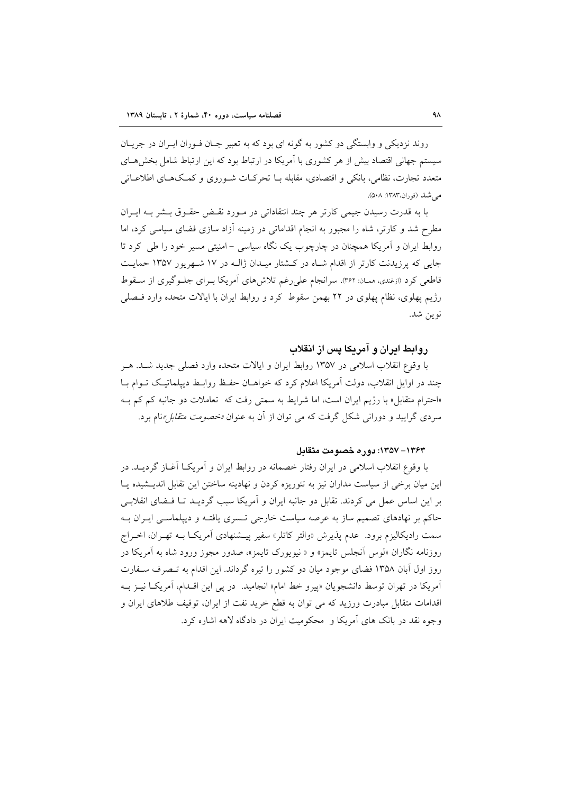روند نزدیکی و وابستگی دو کشور به گونه ای بود که به تعبیر جـان فـوران ایـران در جریـان سیستم جهانی اقتصاد بیش از هر کشوری با آمریکا در ارتباط بود که این ارتباط شامل بخش هـای متعدد تجارت، نظامی، بانکی و اقتصادی، مقابله بـا تحرکـات شـوروی و کمـکـهـای اطلاعـاتی مرغبله (فوران،۱۳۸۳: ۵۰۸).

با به قدرت رسیدن جیمی کارتر هر چند انتقاداتی در مـورد نقـض حقـوق بـشر بـه ایـران مطرح شد و کارتر، شاه را مجبور به انجام اقداماتی در زمینه آزاد سازی فضای سیاسی کرد، اما روابط ایران و آمریکا همچنان در چارچوب یک نگاه سیاسی – امنیتی مسیر خود را طی کرد تا جایی که پرزیدنت کارتر از اقدام شباه در کشتار میبدان ژالبه در ۱۷ شبهریور ۱۳۵۷ حمایت قاطعی کرد (ازغندی، ممـان: ۳۶۲). سرانجام علی(غم تلاشهای آمریکا بـرای جلـوگیری از سـقوط رژیم پهلوی، نظام پهلوی در ۲۲ بهمن سقوط کرد و روابط ایران با ایالات متحده وارد فیصلی نوين شد.

### روابط ایران و آمریکا پس از انقلاب

با وقوع انقلاب اسلامی در ۱۳۵۷ روابط ایران و ایالات متحده وارد فصلی جدید شـد. هـر چند در اوایل انقلاب، دولت آمریکا اعلام کرد که خواهـان حفـظ روابـط دیپلماتیـک تـوام بـا «احترام متقابل» با رژیم ایران است، اما شرایط به سمتی رفت که تعاملات دو جانبه کم کم بـه سردی گرایید و دورانی شکل گرفت که می توان از آن به عنوان *«خصومت متقابل»*نام برد.

### ١٣۶٣ - ١٣٥٧: دوره خصومت متقابل

با وقوع انقلاب اسلامی در ایران رفتار خصمانه در روابط ایران و آمریکـا آغـاز گردیــد. در این میان برخی از سیاست مداران نیز به تئوریزه کردن و نهادینه ساختن این تقابل اندیــشیده پــا بر این اساس عمل می کردند. تقابل دو جانبه ایران و آمریکا سبب گردیـد تـا فـضای انقلابـی حاکم بر نهادهای تصمیم ساز به عرصه سیاست خارجی تـسری یافتـه و دیپلماسـی ایـران بـه سمت رادیکالیزم برود. عدم پذیرش «والتر کاتلر» سفیر پیـشنهادی آمریکـا بــه تهـران، اخــراج روزنامه نگاران «لوس آنجلس تایمز» و « نیویورک تایمز»، صدور مجوز ورود شاه به آمریکا در روز اول آبان ۱۳۵۸ فضای موجود میان دو کشور را تیره گرداند. این اقدام به تـصرف سـفارت آمریکا در تهران توسط دانشجویان «پیرو خط امام» انجامید. در پی این اقـدام، آمریکـا نیـز بـه اقدامات متقابل مبادرت ورزید که می توان به قطع خرید نفت از ایران، توقیف طلاهای ایران و وجوه نقد در بانک های آمریکا و ً محکومیت ایران در دادگاه لاهه اشاره کرد.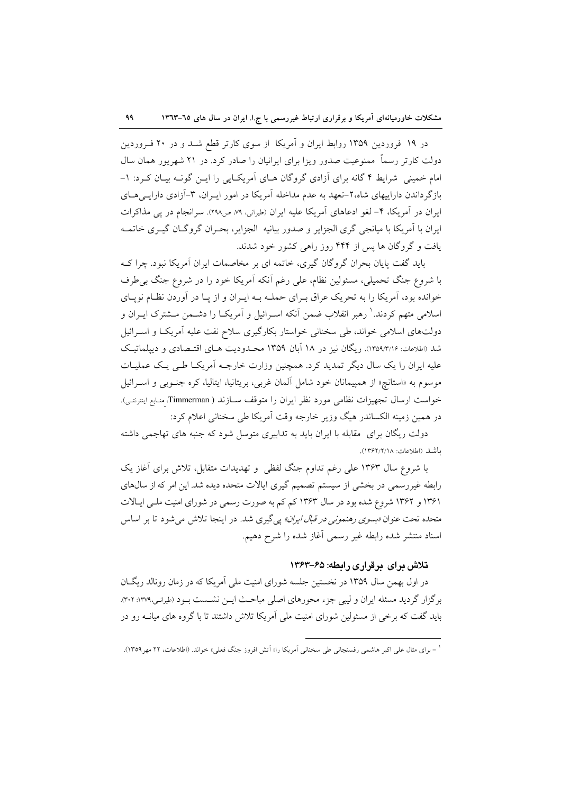در ۱۹ فروردین ۱۳۵۹ روابط ایران و آمریکا از سوی کارتر قطع شـد و در ۲۰ فـروردین دولت کارتر رسماً ممنوعیت صدور ویزا برای ایرانیان را صادر کرد. در ۲۱ شهریور همان سال امام خمینی شرایط ۴ گانه برای آزادی گروگان هـای آمریکـایی را ایـن گونـه بیـان کـرد: ۱-بازگر داندن داراییهای شاه،۲-تعهد به عدم مداخله آمریکا در امور ایـران، ۳-آزادی دارایـی هــای ایران در آمریکا، ۴– لغو ادعاهای آمریکا علیه ایران (طیرانی، ۷۹ ص۲۹۸). سرانجام در یی مذاکرات ایران با آمریکا با میانجی گری الجزایر و صدور بیانیه الجزایر، بحـران گروگـان گیـری خاتمـه یافت و گروگان ها پس از ۴۴۴ روز راهی کشور خود شدند.

باید گفت پایان بحران گروگان گیری، خاتمه ای بر مخاصمات ایران آمریکا نبود. چرا ک با شروع جنگ تحمیلی، مسئولین نظام، علی رغم آنکه آمریکا خود را در شروع جنگ بی طرف خوانده بود، آمریکا را به تحریک عراق بـرای حملـه بـه ایـران و از پـا در آوردن نظـام نویـای اسلامی متهم کردند.' رهبر انقلاب ضمن آنکه اسـرائیل و اَمریکـا را دشــمن مــشترک ایــران و دولتهای اسلامی خواند، طی سخنانی خواستار بکارگیری سلاح نفت علیه آمریکا و اسـرائیل شد (اطلاعات: ۱۳۵۹/۳/۱۶). ریگان نیز در ۱۸ آبان ۱۳۵۹ محـدودیت هـای اقتـصادی و دیپلماتیک علیه ایران را یک سال دیگر تمدید کرد. همچنین وزارت خارجـه آمریکـا طـی یـک عملیـات موسوم به «استانچ» از همپیمانان خود شامل آلمان غربی، بریتانیا، ایتالیا، کره جنوبی و اسـرائیل خواست ارسال تجهيزات نظامي مورد نظر ايران را متوقف سـازند ( Timmerman، منابع اينترنتـي). در همین زمینه الکساندر هیگ وزیر خارجه وقت آمریکا طی سخنانی اعلام کرد:

دولت ریگان برای ً مقابله با ایران باید به تدابیری متوسل شود که جنبه های تهاجمی داشته باشد (اطلاعات: ١٣۶٢/٢/١٨).

با شروع سال ۱۳۶۳ علی رغم تداوم جنگ لفظی و تهدیدات متقابل، تلاش برای آغاز یک رابطه غیررسمی در بخشی از سیستم تصمیم گیری ایالات متحده دیده شد. این امر که از سال های ۱۳۶۱ و ۱۳۶۲ شروع شده بود در سال ۱۳۶۳ کم کم به صورت رسمی در شورای امنیت مل<sub>ح</sub> ایـالات متحده تحت عنوان *«بسوی رهنمونی در قبال ایران» پی گ*یری شد. در اینجا تلاش می شود تا بر اساس اسناد منتشر شده رابطه غير رسمي أغاز شده را شرح دهيم.

### تلاش برای برقراری رابطه: ۶۵–۱۳۶۳

در اول بهمن سال ۱۳۵۹ در نخستین جلسه شورای امنیت ملی آمریکا که در زمان رونالد ریگان برگزار گردید مسئله ایران و لیبی جزء محورهای اصلی مباحث ایــن نشــست بــود (طیرانـی،١٣٧٩: ٣٠٢). باید گفت که برخی از مسئولین شورای امنیت ملی آمریکا تلاش داشتند تا با گروه های میانــه رو در

<sup>&#</sup>x27; – برای مثال علی اکبر هاشمی رفسنجانی طی سخنانی اَمریکا را« اَتش افروز جنگ فعلی» خواند. (اطلاعات، ۲۲ مهر۱۳۵۹).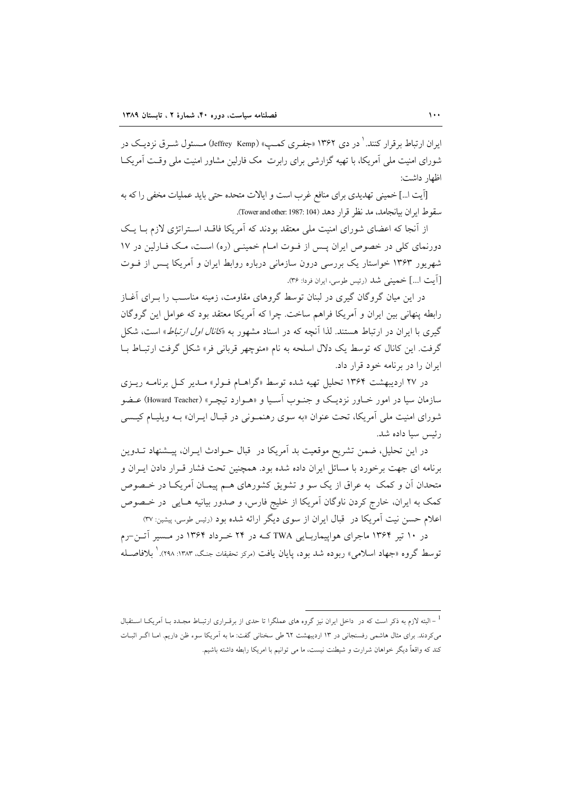ایران ارتباط برقرار کنند. <sup>۱</sup> در دی ۱۳۶۲ «جفـری کمـپ» (Jeffrey Kemp) مـسئول شـرق نزدیـک در شورای امنیت ملی آمریکا، با تھیه گزارشی برای رابرت ً مک فارلین مشاور امنیت ملی وقـت آمریکـا اظهار داشت:

[آيت ا…] خميني تهديدي براي منافع غرب است و ايالات متحده حتى بايد عمليات مخفى را كه به سقوط ايران بيانجامد، مد نظر قرار دهد (Tower and other: 1987: 104).

از آنجا که اعضای شورای امنیت ملی معتقد بودند که آمریکا فاقـد اسـتراتژی لازم بـا یـک دورنمای کلی در خصوص ایران پس از فوت امام خمینی (ره) است، مک فارلین در ۱۷ شهریور ۱۳۶۳ خواستار یک بررسی درون سازمانی درباره روابط ایران و آمریکا پس از فـوت [اّيت ا...] خميني شد (رئيس طوسي، ايران فردا: ٣۶).

در این میان گروگان گیری در لبنان توسط گروهای مقاومت، زمینه مناســب را بــرای آغــاز رابطه پنهانی بین ایران و آمریکا فراهم ساخت. چرا که آمریکا معتقد بود که عوامل این گروگان گیری با ایران در ارتباط هستند. لذا آنچه که در اسناد مشهور به «*کانال اول ارتباط*» است، شکل گرفت. این کانال که توسط یک دلال اسلحه به نام «منوچهر قربانی فر» شکل گرفت ارتباط بــا ایران را در برنامه خود قرار داد.

در ۲۷ اردیبهشت ۱۳۶۴ تحلیل تهیه شده توسط «گراهـام فـولر» مـدیر کـل برنامـه ریـزی سازمان سیا در امور خــاور نزدیــک و جنــوب آســیا و «هــوارد تیچــر» (Howard Teacher) عــضو شورای امنیت ملی آمریکا، تحت عنوان «به سوی رهنمونی در قبال ایـران» بـه ویلیـام کیـسی رئيس سيا داده شد.

در این تحلیل، ضمن تشریح موقعیت بد آمریکا در قبال حـوادث ایـران، پیـشنهاد تــدوین برنامه ای جهت برخورد با مسائل ایران داده شده بود. همچنین تحت فشار قـرار دادن ایـران و متحدان آن و کمک به عراق از یک سو و تشویق کشورهای هـم پیمـان آمریکـا در خـصوص كمك به ايران، خارج كردن ناوگان آمريكا از خليج فارس، و صدور بيانيه هـايي ٍ در خـصوص اعلام حسن نیت آمریکا در قبال ایران از سوی دیگر ارائه شده بود (رئیس طوسی، پیشین: ۳۷)

در ۱۰ تیر ۱۳۶۴ ماجرای هواپیماریـایی TWA کـه در ۲۴ خـرداد ۱۳۶۴ در مـسیر آتـن-رم توسط گروه «جهاد اسلامی» ربوده شد بود، پایان یافت (مردِ تحقیقات جنگ، ۱۳۸۳: ۲۹۸). <sup>۱</sup> بلافاصـله

<sup>&</sup>lt;sup>1</sup> – البته لازم به ذکر است که در داخل ایران نیز گروه های عملگرا تا حدی از برقـراری ارتبـاط مجـدد بـا اَمریکـا اسـتقبال می کردند. برای مثال هاشمی رفسنجانی در ۱۳ اردیبهشت ٦٢ طی سخنانی گفت: ما به اَمریکا سوء ظن داریم. امـا اگــر اثبـات کند که واقعاً دیگر خواهان شرارت و شیطنت نیست، ما می توانیم با امریکا رابطه داشته باشیم.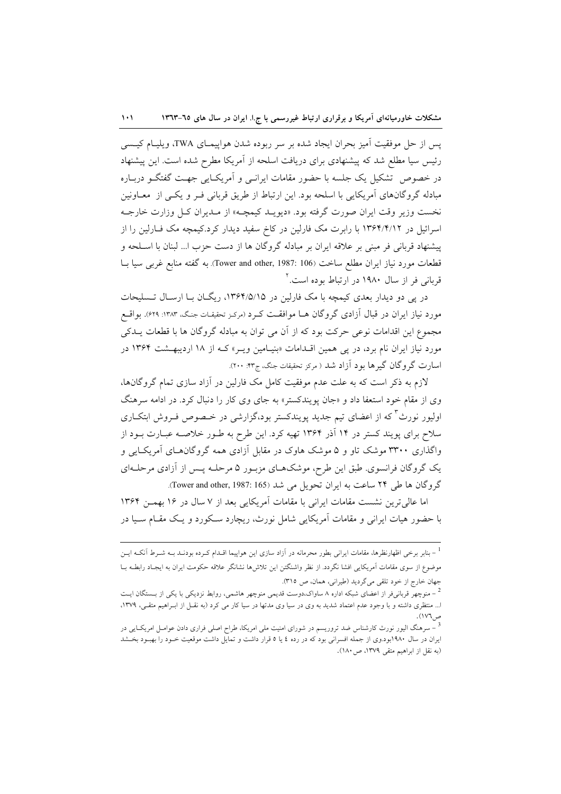يس از حل موفقيت آميز بحران ايجاد شده بر سر ربوده شدن هواپيمـاي TWA، ويليـام كيـسى رئیس سیا مطلع شد که پیشنهادی برای دریافت اسلحه از آمریکا مطرح شده است. این پیشنهاد در خصوص تشکیل یک جلسه با حضور مقامات ایرانسی و آمریک ایی جهت گفتگـو دربـاره مبادله گروگانهای آمریکایی با اسلحه بود. این ارتباط از طریق قربانی فـر و یکـی از معــاونین نخست وزير وقت ايران صورت گرفته بود. «ديويـد كيمچـه» از مـديران كـل وزارت خارجـه اسرائیل در ۱۳۶۴/۴/۱۲ با رابرت مک فارلین در کاخ سفید دیدار کرد.کیمچه مک فـارلین را از پیشنهاد قربانی فر مبنی بر علاقه ایران بر مبادله گروگان ها از دست حزب ا... لبنان با اسـلحه و قطعات مورد نیاز ایران مطلع ساخت (Tower and other, 1987: 106). به گفته منابع غربی سیا بــا قربانی فر از سال ۱۹۸۰ در ارتباط بوده است.<sup>۲</sup>

در پی دو دیدار بعدی کیمچه با مک فارلین در ۱۳۶۴/۵/۱۵، ریگـان بــا ارســال تــسلیحات مورد نیاز ایران در قبال آزادی گروگان هـا موافقـت کـرد (مرکـز تحقیقـات جنـگ، ۱۳۸۳: ۶۲۹). بواقــع مجموع این اقدامات نوعی حرکت بود که از آن می توان به مبادله گروگان ها با قطعات پــدکی مورد نیاز ایران نام برد، در پی همین اقلدامات «بنیامین ویـر» کـه از ۱۸ اردیبهـشت ۱۳۶۴ در اسارت گروگان گیرها بود آزاد شد ( مرکز تحقیقات جنگ، ج۴۳: ۲۰۰).

لازم به ذکر است که به علت عدم موفقیت کامل مک فارلین در آزاد سازی تمام گروگانها، وی از مقام خود استعفا داد و «جان یویندکستر» به جای وی کار را دنبال کرد. در ادامه سرهنگ اولیور نورث<sup>7</sup>که از اعضای تیم جدید پویندکستر بود،گزارشی در خـصوص فـروش ابتکـاری سلاح برای پویند کستر در ۱۴ آذر ۱۳۶۴ تهیه کرد. این طرح به طـور خلاصــه عبــارت بــود از واگذاری ۳۳۰۰ موشک تاو و ۵ موشک هاوک در مقابل آزادی همه گروگان های آمریک ایی و یک گروگان فرانسوی. طبق این طرح، موشکهـای مزبـور ۵ مرحلـه پـس از آزادی مرحلـهای گروگان ها طی ۲۴ ساعت به ایران تحویل می شد (Tower and other, 1987: 165).

اما عالی ترین نشست مقامات ایرانی با مقامات آمریکایی بعد از ۷ سال در ۱۶ بهمـن ۱۳۶۴ با حضور هیات ایرانی و مقامات آمریکایی شامل نورث، ریچارد سکورد و یک مقـام سـیا در

<sup>&</sup>lt;sup>1</sup> – بنابر برخی اظهارنظرها، مقامات ایرانی بطور محرمانه در آزاد سازی این هواپیما اقــدام کــرده بودنــد بــه شــرط آنکــه ایــن موضوع از سوی مقامات اَمریکایی افشا نگردد. از نظر واشنگتن این تلاش۵ا نشانگر علاقه حکومت ایران به ایجـاد رابطـه بــا جهان خارج از خود تلقى مى گرديد (طيرانى، همان، ص ٣١٥).

<sup>&</sup>lt;sup>2</sup> – منوچهر قربانی فر از اعضای شبکه اداره ۸ ساواک،دوست قدیمی منوچهر هاشمی، روابط نزدیکی با یکی از بـــستگان ایــت ا... منتظری داشته و با وجود عدم اعتماد شدید به وی در سیا وی مدتها در سیا کار می کرد (به نقـل از ابـراهیم متقـی، ۱۳۷۹، ص١٧٦).

<sup>&</sup>lt;sup>3</sup> – سرهنگ الیور نورث کارشناس ضد تروریسم در شورای امنیت ملی امریکا، طراح اصلی فراری دادن عوامـل امریکـایی در ایران در سال ۱۹۸۰بود.وی از جمله افسرانی بود که در رده ٤ یا ٥ قرار داشت و تمایل داشت موقعیت خـود را بهبـود بخـشد (به نقل از ابراهیم متقی ۱۳۷۹، ص ۱۸۰).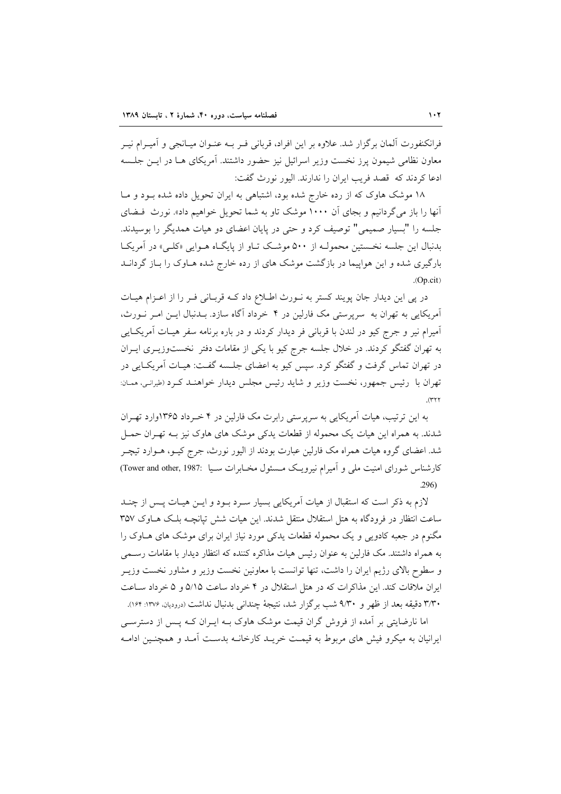فرانکنفورت آلمان برگزار شد. علاوه بر این افراد، قربانی فـر بــه عنــوان میــانجی و آمیــرام نیــر معاون نظامی شیمون یرز نخست وزیر اسرائیل نیز حضور داشتند. آمریکای هــا در ایــن جلــسه ادعا کردند که قصد فریب ایران را ندارند. الیور نورث گفت:

۱۸ موشک هاوک که از رده خارج شده بود، اشتباهی به ایران تحویل داده شده بـود و مـا آنها را باز می گردانیم و بجای آن ۱۰۰۰ موشک تاو به شما تحویل خواهیم داد». نورث فیضای جلسه را "بسیار صمیمی" توصیف کرد و حتی در پایان اعضای دو هیات همدیگر را بوسیدند. بدنبال این جلسه نخستین محمولـه از ۵۰۰ موشـک تـاو از پایگـاه هـوایی «کلـی» در آمریکـا بارگیری شده و این هواپیما در بازگشت موشک های از رده خارج شده هـاوک را بـاز گردانــد  $(Op.cit)$ 

در پی این دیدار جان پویند کستر به نـورث اطـلاع داد کـه قربـانی فـر را از اعـزام هیـات آمریکایی به تهران به ًسرپرستی مک فارلین در ۴ خرداد آگاه سازد. بــدنبال ایــن امــر نــورث، اًمیرام نیر و جرج کیو در لندن با قربانی فر دیدار کردند و در باره برنامه سفر هیــات اَمریکــایی به تهران گفتگو کردند. در خلال جلسه جرج کیو با یکی از مقامات دفتر نخستوزیـری ایـران در تهران تماس گرفت و گفتگو کرد. سپس کیو به اعضای جلسه گفت: هیـات آمریکـایی در تهران با -رئيس جمهور، نخست وزير و شايد رئيس مجلس ديدار خواهنـد كـرد (طيرانـي، ممـان:

به این ترتیب، هیات آمریکایی به سرپرستی رابرت مک فارلین در ۴ خـرداد ۱۳۶۵وارد تهـران شدند. به همراه این هیات یک محموله از قطعات یدکی موشک های هاوک نیز بـه تهـران حمــل شد. اعضای گروه هیات همراه مک فارلین عبارت بودند از الیور نورث، جرج کیــو، هــوارد تیچــر کارشناس شورای امنیت ملی و آمیرام نیرویک مسئول مخـابرات سـيا :Tower and other, 1987  $.296$ 

لازم به ذکر است که استقبال از هیات آمریکایی بسیار سـرد بـود و ایــن هیــات پــس از چنــد ساعت انتظار در فرودگاه به هتل استقلال منتقل شدند. این هیات شش تپانچـه بلـک هـاوک ۳۵۷ مگنوم در جعبه کادویی و یک محموله قطعات یدکی مورد نیاز ایران برای موشک های هــاوک را به همراه داشتند. مک فارلین به عنوان رئیس هیات مذاکره کننده که انتظار دیدار با مقامات رسـمی و سطوح بالای رژیم ایران را داشت، تنها توانست با معاونین نخست وزیر و مشاور نخست وزیـر ایران ملاقات کند. این مذاکرات که در هتل استقلال در ۴ خرداد ساعت ۵/۱۵ و ۵ خرداد سـاعت ٣/٣٠ دقيقه بعد از ظهر و ٩/٣٠ شب برگزار شد، نتيجهٔ چنداني بدنبال نداشت (دروديان ١٣٧۶: ١٤٢).

اما نارضایتی بر آمده از فروش گران قیمت موشک هاوک بـه ایـران کـه پـس از دسترسـی ایرانیان به میکرو فیش های مربوط به قیمت خریـد کارخانــه بدسـت آمـد و همچنـین ادامــه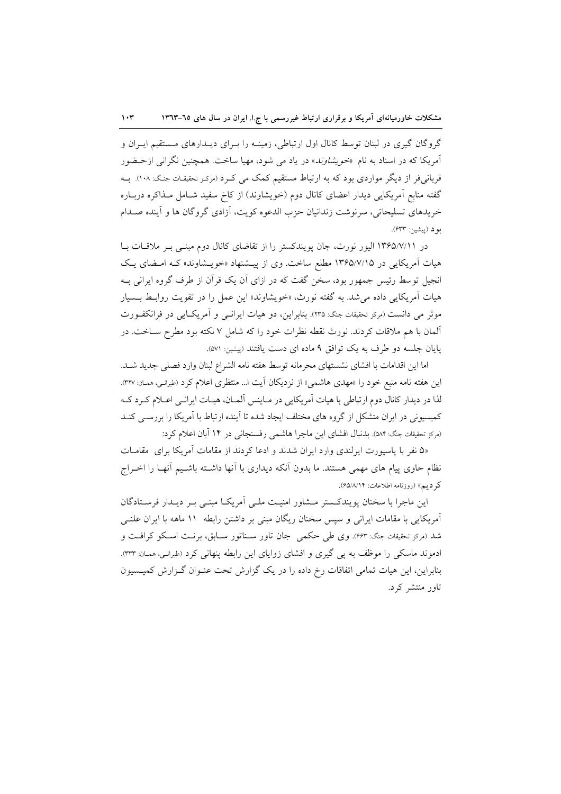گروگان گیری در لبنان توسط کانال اول ارتباطی، زمینـه را بـرای دیــدارهای مــستقیم ایــران و آمریکا که در اسناد به نام «*خویشاوند*» در یاد می شود، مهیا ساخت. همچنین نگرانی ازحـضور قربانی فر از دیگر مواردی بود که به ارتباط مستقیم کمک می کـرد (مرکـز تحقیقـات جنـگ: ۱۰۸). بــه گفته منابع آمریکایی دیدار اعضای کانال دوم (خویشاوند) از کاخ سفید شـامل مـذاکره دربـاره خريدهاي تسليحاتي، سرنوشت زندانيان حزب الدعوه كويت، أزادي گروگان ها و أينده صـدام بود (پیشین: ۶۳۳).

در ۱۳۶۵/۷/۱۱ الیور نورث، جان پویندکستر را از تقاضای کانال دوم مبنـی بـر ملاقـات بـا هیات آمریکایی در ۱۳۶۵/۷/۱۵ مطلع ساخت. وی از پیشنهاد «خویشاوند» که امضای یک انجیل توسط رئیس جمهور بود، سخن گفت که در ازای آن یک قرآن از طرف گروه ایرانی بـه هيات آمريكايي داده مي شد. به گفته نورث، «خويشاوند» اين عمل را در تقويت روابط بـسيار موثر می دانست (مرکز تحقیقات جنگ: ۲۳۵). بنابراین، دو هیات ایرانسی و آمریک)یی در فرانکفورت ألمان با هم ملاقات کردند. نورث نقطه نظرات خود را که شامل ۷ نکته بود مطرح ســاخت. در یایان جلسه دو طرف به یک توافق ۹ ماده ای دست یافتند (پیشین: ۵۷۱).

اما اين اقدامات با افشاى نشستهاى محرمانه توسط هفته نامه الشراع لبنان وارد فصلى جديد شـد. این هفته نامه منبع خود را «مهدی هاشمی» از نزدیکان آیت ا… منتظری اعلام کرد (طیرانـی، ممـان: ۳۲۷). لذا در دیدار کانال دوم ارتباطی با هیات آمریکایی در مـاینس آلمـان، هیـات ایرانـی اعـلام کـرد کـه کمیسیونی در ایران متشکل از گروه های مختلف ایجاد شده تا آینده ارتباط با آمریکا را بررسـی کنــد (مرکز تحقیقات جنگ: ۵۸۴). بدنبال افشای این ماجرا هاشمی رفسنجانی در ۱۴ آبان اعلام کرد:

«۵ نفر با پاسپورت ایرلندی وارد ایران شدند و ادعا کردند از مقامات آمریکا برای مقامات نظام حاوی پیام های مهمی هستند. ما بدون اّنکه دیداری با اّنها داشــته باشــیم اّنهــا را اخــراج كر ديم» (روزنامه اطلاعات: ۶۵/۸/۱۴).

این ماجرا با سخنان پویندکستر مـشاور امنیـت ملـی آمریکـا مبنـی بـر دیـدار فرسـتادگان آمریکایی با مقامات ایرانی و سپس سخنان ریگان مبنی بر داشتن رابطه ۱۱ ماهه با ایران علنـی شد (مرکز تحقیقات جنگ: ۶۶۳). وی طی حکمی جان تاور ســناتور ســابق، برنــت اســکو کرافــت و ادموند ماسکی را موظف به پی گیری و افشای زوایای این رابطه پنهانی کرد (طیرانی، ممـان: ٣٣٣). بنابراین، این هیات تمامی اتفاقات رخ داده را در یک گزارش تحت عنـوان گـزارش کمیـسیون تاور منتشر کرد.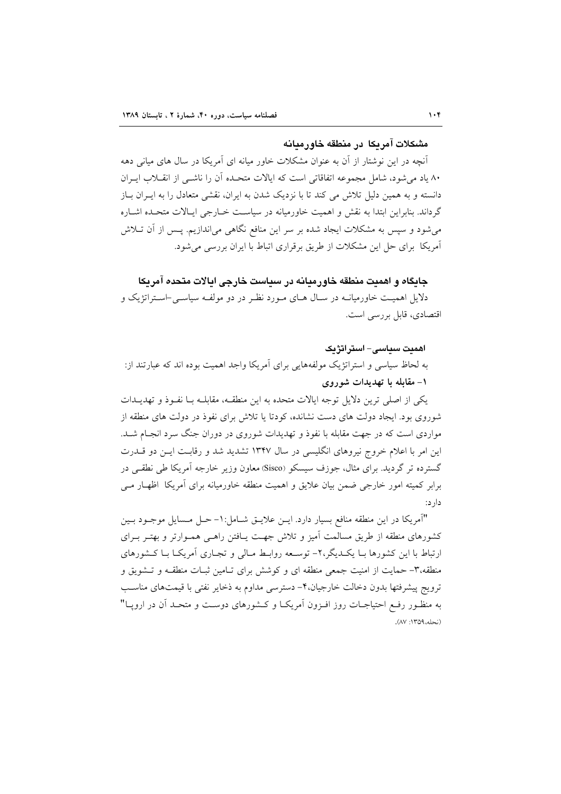### مشكلات آمريكا إدر منطقه خاورميانه

آنچه در این نوشتار از آن به عنوان مشکلات خاور میانه ای آمریکا در سال های میانی دهه ٨٠ ياد مي شود، شامل مجموعه اتفاقاتي است كه ايالات متحـده آن را ناشــي از انقــلاب ايــران دانسته و به همین دلیل تلاش می کند تا با نزدیک شدن به ایران، نقشی متعادل را به ایـران بـاز گرداند. بنابراین ابتدا به نقش و اهمیت خاورمیانه در سیاست خــارجی ایــالات متحــده اشــاره می شود و سپس به مشکلات ایجاد شده بر سر این منافع نگاهی می اندازیم. پــس از آن تــلاش آمریکا برای حل این مشکلات از طریق برقراری اتباط با ایران بررسی می شود.

جایگاه و اهمیت منطقه خاورمیانه در سیاست خارجی ایالات متحده آمریکا دلایل اهمیت خاورمیانــه در ســال هــای مــورد نظـر در دو مولفــه سیاســی-اســتراتژیک و اقتصادی، قابل بررسی است.

اھمىت سىياسى- استراتژىك به لحاظ سیاسی و استراتژیک مولفههایی برای آمریکا واجد اهمیت بوده اند که عبارتند از: ۱– مقابله با تهدیدات شوروی

یکی از اصلی ترین دلایل توجه ایالات متحده به این منطقـه، مقابلــه بــا نفــوذ و تهدیــدات شوروی بود. ایجاد دولت های دست نشانده، کودتا یا تلاش برای نفوذ در دولت های منطقه از مواردی است که در جهت مقابله با نفوذ و تهدیدات شوروی در دوران جنگ سرد انجـام شـد. این امر با اعلام خروج نیروهای انگلیسی در سال ۱۳۴۷ تشدید شد و رقابت ایـن دو قــدرت گسترده تر گردید. برای مثال، جوزف سیسکو (Sisco) معاون وزیر خارجه آمریکا طی نطقی در برابر کمیته امور خارجی ضمن بیان علایق و اهمیت منطقه خاورمیانه برای آمریکا اظهـار مـی دار د:

"آمريكا در اين منطقه منافع بسيار دارد. ايـن علايـق شـامل:١- حـل مـسايل موجـود بـين کشورهای منطقه از طریق مسالمت آمیز و تلاش جهت پـافتن راهـی همـوارتر و بهتـر بـرای ارتباط با این کشورها بـا یکـدیگر،۲- توسـعه روابـط مـالی و تجـاری آمریکـا بـا کـشورهای منطقه،٣- حمایت از امنیت جمعی منطقه ای و کوشش برای تـامین ثبـات منطقـه و تـشویق و ترويج پيشرفتها بدون دخالت خارجيان،۴- دسترسي مداوم به ذخاير نفتي با قيمتهاي مناسب به منظـور رفـع احتیاجــات روز افــزون آمریکــا و کــشورهای دوســت و متحــد آن در ارویــا" (نحله،١٣٥٩: ٨٧).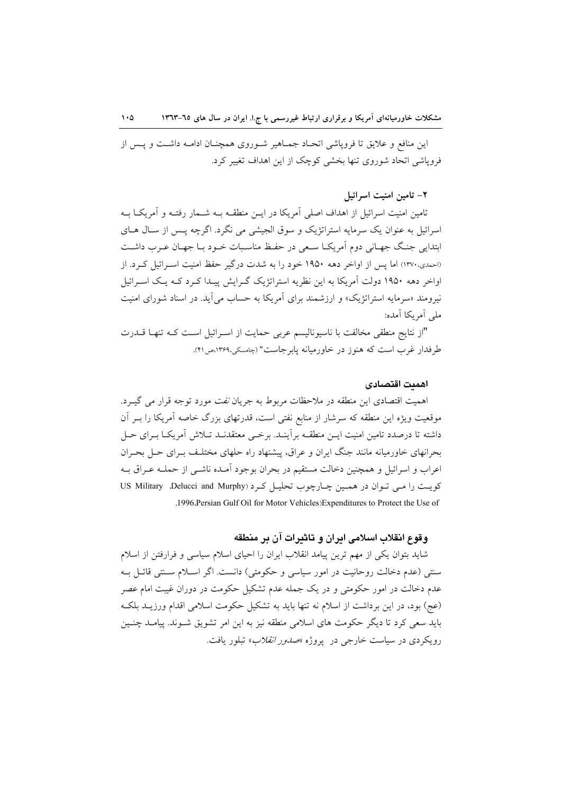این منافع و علایق تا فروپاشی اتحـاد جمـاهیر شـوروی همچنـان ادامـه داشـت و پـس از فرویاشی اتحاد شوروی تنها بخشی کوچک از این اهداف تغییر کرد.

## ٢- تامين امنيت اسرائيل

تامین امنیت اسرائیل از اهداف اصلی آمریکا در ایــن منطقــه بــه شــمار رفتــه و آمریکــا بــه اسرائیل به عنوان یک سرمایه استراتژیک و سوق الجیشی می نگرد. اگرچه پـس از سـال هـای ابتدایی جنگ جهـانی دوم آمریکـا سـعی در حفـظ مناسـبات خـود بـا جهـان عـرب داشـت (احمدی، ۱۳۷۰) اما پس از اواخر دهه ۱۹۵۰ خود را به شدت درگیر حفظ امنیت اسـرائیل کـرد. از اواخر دهه ۱۹۵۰ دولت آمریکا به این نظریه استراتژیک گـرایش پیـدا کـرد کــه یـک اسـرائیل نیرومند «سرمایه استراتژیک» و ارزشمند برای آمریکا به حساب می آید. در اسناد شورای امنیت ملے ِ اَمر بکا اَمدہ:

"از نتايج منطقى مخالفت با ناسيوناليسم عربى حمايت از اسـرائيل اسـت كـه تنهـا قــدرت طرفدار غرب است كه هنوز در خاورميانه پابرجاست" (چامسكي،١٣۶٩،ص٢١).

#### اهمىت اقتصادى

اهمیت اقتصادی این منطقه در ملاحظات مربوط به جریان *نفت* مورد توجه قرار می گیـرد. موقعیت ویژه این منطقه که سرشار از منابع نفتی است، قدرتهای بزرگ خاصه آمریکا را بـر آن داشته تا درصدد تامین امنیت ایــن منطقــه برآینــد. برخــی معتقدنــد تــلاش آمریکــا بــرای حــل بحرانهای خاورمیانه مانند جنگ ایران و عراق، پیشنهاد راه حلهای مختلف بـرای حـل بحـران اعراب و اسرائیل و همچنین دخالت مستقیم در بحران بوجود آمـده ناشـی از حملــه عـراق بــه کویت را می توان در همین چارچوب تحلیل کرد (US Military Delucci and Murphy .1996. Persian Gulf Oil for Motor Vehicles) Expenditures to Protect the Use of

## وقوع انقلاب اسلامي ابران و تاثيرات آن بر منطقه

شاید بتوان یکی از مهم ترین پیامد انقلاب ایران را احیای اسلام سیاسی و فرارفتن از اسلام سنتي (عدم دخالت روحانيت در امور سياسي و حكومتي) دانست. اگر اسـلام سـنتي قائـل بـه عدم دخالت در امور حکومتی و در یک جمله عدم تشکیل حکومت در دوران غیبت امام عصر (عج) بود، در این برداشت از اسلام نه تنها باید به تشکیل حکومت اسلامی اقدام ورزیـد بلکـه باید سعی کرد تا دیگر حکومت های اسلامی منطقه نیز به این امر تشویق شـوند. پیامـد چنـین رویکردی در سیاست خارجی در پروژه *«صدور انقلاب*» تبلور یافت.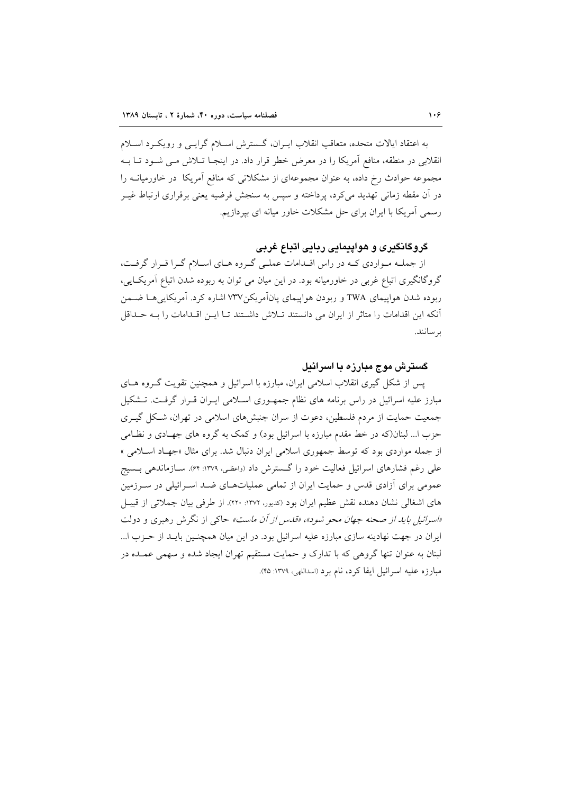به اعتقاد ایالات متحده، متعاقب انقلاب ایـران، گـسترش اسـلام گرایـبی و رویکــرد اسـلام انقلابی در منطقه، منافع آمریکا را در معرض خطر قرار داد. در اینجـا تــلاش مــی شــود تــا بــه مجموعه حوادث رخ داده، به عنوان مجموعهای از مشکلاتی که منافع آمریکا در خاورمیانــه را در آن مقطه زمانی تهدید میکرد، پرداخته و سپس به سنجش فرضیه یعنی برقراری ارتباط غیـر رسمی آمریکا با ایران برای حل مشکلات خاور میانه ای بپردازیم.

# گروگانگیری و هواپیمایی ربایی اتباع غربی

از جملـه مـواردي كـه در راس اقـدامات عملـي گـروه هـاي اسـلام گـرا قـرار گرفـت، گروگانگیری اتباع غربی در خاورمیانه بود. در این میان می توان به ربوده شدن اتباع آمریک ایی، ربوده شدن هواپیمای TWA و ربودن هواپیمای پانآمریکن۷۳۷ اشاره کرد. آمریکایی هـا ضـمن آنکه این اقدامات را متاثر از ایران می دانستند تـلاش داشـتند تـا ایــن اقــدامات را بــه حــداقل بر سانند.

# گسترش موج مبارزه با اسرائیل

پس از شکل گیری انقلاب اسلامی ایران، مبارزه با اسرائیل و همچنین تقویت گـروه هـای مبارز علیه اسرائیل در راس برنامه های نظام جمهوری اسلامی ایـران قـرار گرفـت. تـشکیل جمعیت حمایت از مردم فلسطین، دعوت از سران جنبشهای اسلامی در تهران، شکل گیـری حزب ا... لبنان(که در خط مقدم مبارزه با اسرائیل بود) و کمک به گروه های جهـادی و نظـامی از جمله مواردی بود که توسط جمهوری اسلامی ایران دنبال شد. برای مثال «جهـاد اسـلامی » علی رغم فشارهای اسرائیل فعالیت خود را گسترش داد (واعظی، ۱۳۷۹: ۶۴). سـازماندهی بـسیج عمومی برای آزادی قدس و حمایت ایران از تمامی عملیاتهـای ضـد اسـرائیلی در سـرزمین های اشغالی نشان دهنده نقش عظیم ایران بود (کدیور، ۱۳۷۲: ۲۲۰). از طرفی بیان جملاتی از قبیـل «اسرائیل باید از صحنه جهان محو شود»، «قلس از آن ماست» حاکی از نگرش رهبری و دولت ایران در جهت نهادینه سازی مبارزه علیه اسرائیل بود. در این میان همچنـین بایــد از حــزب ا... لبنان به عنوان تنها گروهی که با تدارک و حمایت مستقیم تهران ایجاد شده و سهمی عمـده در مبارزه عليه اسرائيل ايفا كرد، نام برد (اسداللهي، ١٣٧٩: ۴۵).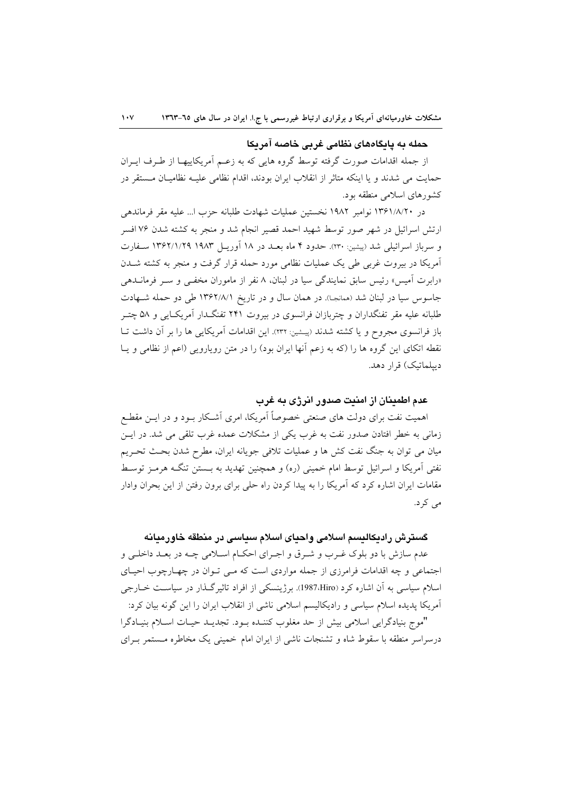### حمله به پایگاههای نظامی غربی خاصه امریکا

از جمله اقدامات صورت گرفته توسط گروه هایی که به زعـم أمریکاییهـا از طـرف ایــران حمایت می شدند و یا اینکه متاثر از انقلاب ایران بودند، اقدام نظامی علیــه نظامیــان مــستقر در کشورهای اسلامی منطقه بود.

در ۱۳۶۱/۸/۲۰ نوامبر ۱۹۸۲ نخستین عملیات شهادت طلبانه حزب ا… علیه مقر فرماندهی ارتش اسرائیل در شهر صور توسط شهید احمد قصیر انجام شد و منجر به کشته شدن ۷۶ افسر و سرباز اسرائيلي شد (ييشين: ٢٣٠). حدود ۴ ماه بعــد در ١٨ آوريــل ١٩٨٣ ١٣۶٢/١/٢٩ سـفارت امریکا در بیروت غربی طی یک عملیات نظامی مورد حمله قرار گرفت و منجر به کشته شــدن «رابرت امیس» رئیس سابق نمایندگی سیا در لبنان، ۸ نفر از ماموران مخفـی و ســر فرمانــدهی جاسوس سيا در لبنان شد (همانجا). در همان سال و در تاريخ ١٣۶٢/٨/١ طي دو حمله شـهادت طلبانه علیه مقر تفنگداران و چتربازان فرانسوی در بیروت ۲۴۱ تفنگـدار امریکــایی و ۵۸ چتــر باز فرانسوی مجروح و یا کشته شدند (پیشین: ۲۳۲). این اقدامات امریکایی ها را بر ان داشت تــا نقطه اتکای این گروه ها را (که به زعم آنها ایران بود) را در متن رویارویی (اعم از نظامی و یـا دیپلماتیک) قرار دهد.

### عدم اطمينان از امنيت صدور انرژى به غرب

اهمیت نفت برای دولت های صنعتی خصوصاً آمریکا، امری آشـکار بــود و در ایــن مقطــع زمانی به خطر افتادن صدور نفت به غرب یکی از مشکلات عمده غرب تلقی می شد. در ایــن میان می توان به جنگ نفت کش ها و عملیات تلافی جویانه ایران، مطرح شدن بحـث تحـریم نفتی آمریکا و اسرائیل توسط امام خمینی (ره) و همچنین تهدید به بــستن تنگــه هرمـز توسـط مقامات ایران اشاره کرد که امریکا را به پیدا کردن راه حلی برای برون رفتن از این بحران وادار می کر د.

### **گسترش رادیکالیسم اسلامی واحیای اسلام سیاسی در منطقه خاورم<b>ی**انه

عدم سازش با دو بلوک غـرب و شـرق و اجـراي احکـام اسـلامي چـه در بعـد داخلـي و اجتماعی و چه اقدامات فرامرزی از جمله مواردی است که مـی تــوان در چهــارچوب احیــای اسلام سیاسی به ان اشاره کرد (1987،Hiro). برژینسکی از افراد تاثیرگـذار در سیاسـت خــارجی آمریکا پدیده اسلام سیاسی و رادیکالیسم اسلامی ناشی از انقلاب ایران را این گونه بیان کرد: "موج بنيادگرايي اسلامي بيش از حد مغلوب كننـده بــود. تجديــد حيــات اســلام بنيــادگرا درسراسر منطقه با سقوط شاه و تشنجات ناشی از ایران امام خمینی یک مخاطره مستمر بـرای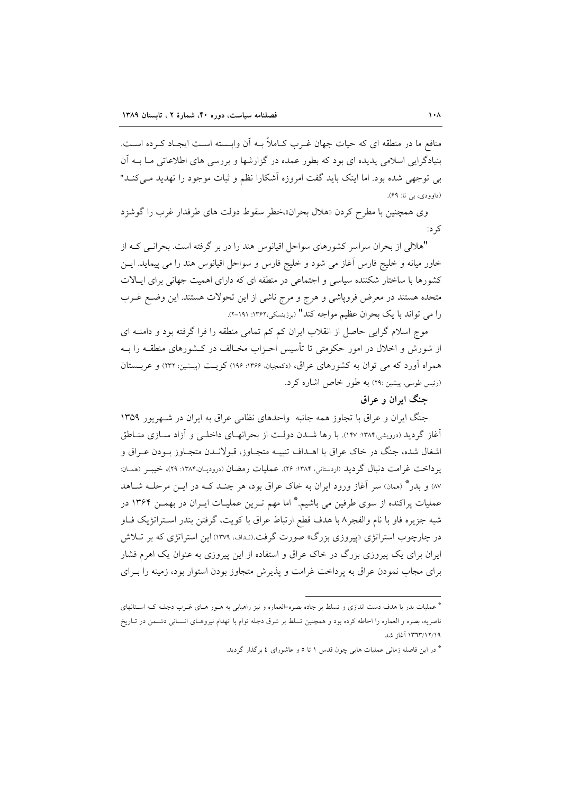منافع ما در منطقه ای که حیات جهان غـرب کـاملاً بــه اَن وابــسته اســت ایجــاد کــرده اســت. بنیادگرایی اسلامی پدیده ای بود که بطور عمده در گزارشها و بررسی های اطلاعاتی مــا بــه آن بی توجهی شده بود. اما اینک باید گفت امروزه آشکارا نظم و ثبات موجود را تهدید مـیکنـد" (داوودي، بي تا: ۶۹).

وی همچنین با مطرح کردن «هلال بحران»خطر سقوط دولت های طرفدار غرب را گوشزد کر د:

"هلالی از بحران سراسر کشورهای سواحل اقیانوس هند را در بر گرفته است. بحرانـی کـه از خاور میانه و خلیج فارس آغاز می شود و خلیج فارس و سواحل اقیانوس هند را می پیماید. ایــن کشورها با ساختار شکننده سیاسی و اجتماعی در منطقه ای که دارای اهمیت جهانی برای ایـالات متحده هستند در معرض فروياشي و هرج و مرج ناشي از اين تحولات هستند. اين وضع غـرب را می تواند با یک بحران عظیم مواجه کند" (برژینسکی،۱۳۶۲: ۲۹۱-۲).

موج اسلام گرایبی حاصل از انقلاب ایران کم کم تمامی منطقه را فرا گرفته بود و دامنـه ای از شورش و اخلال در امور حکومتی تا تأسیس احـزاب مخـالف در کـشورهای منطقــه را بــه همراه آورد که می توان به کشورهای عراق، (دکمجیان، ۱۳۶۶: ۱۹۶) کویت (پیشین: ۲۳۲) و عربستان (رئيس طوسي، پيشين :٢٩) به طور خاص اشاره كرد.

# حنگ اران و عراق

جنگ ایران و عراق با تجاوز همه جانبه واحدهای نظامی عراق به ایران در شـهریور ۱۳۵۹ آغاز گردید (درویشی،۱۳۸۴: ۱۴۷). با رها شــدن دولـت از بحرانهـای داخلـی و آزاد ســازی منــاطق اشغال شده، جنگ در خاک عراق با اهــداف تنبيــه متجــاوز، قبولانــدن متجــاوز بــودن عــراق و یرداخت غرامت دنبال گردید (اردستانی، ۱۳۸۴: ۲۶). عملیات رمضان (درودیـان،۱۳۸۴: ۲۹)، خیبــر (همـان: ٨٧) و بدر \* (همان) سر آغاز ورود ايران به خاک عراق بود، هر چنـد کـه در ايــن مرحلــه شــاهد عملیات پراکنده از سوی طرفین می باشیم.\* اما مهم تـرین عملیـات ایـران در بهمــن ۱۳۶۴ در شبه جزيره فاو با نام والفجر ٨ با هدف قطع ارتباط عراق با كويت، گرفتن بندر استراتژيک فـاو در چارچوب استراتژی «پیروزی بزرگ» صورت گرفت.(نـداف، ۱۳۷۹) این استراتژی که بر تــلاش ایران برای یک پیروزی بزرگ در خاک عراق و استفاده از این پیروزی به عنوان یک اهرم فشار برای مجاب نمودن عراق به پرداخت غرامت و پذیرش متجاوز بودن استوار بود، زمینه را بــرای

<sup>\*</sup> عملیات بدر با هدف دست اندازی و تسلط بر جاده بصره-العماره و نیز راهیابی به هـور هـای غـرب دجلـه کـه اسـتانهای ناصريه، بصره و العماره را احاطه كرده بود و همچنين تسلط بر شرق دجله توام با انهدام نيروهـاي انـساني دشـمن در تـاريخ ۱۳٦٣/۱۲/۱۹ آغاز شد.

<sup>\*</sup> در این فاصله زمانی عملیات هایی چون قدس ۱ تا ٥ و عاشورای ٤ برگذار گردید.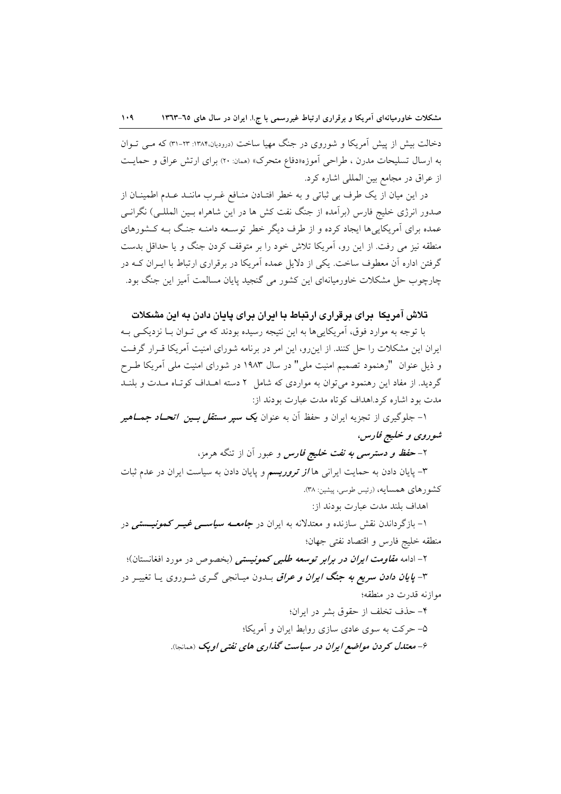دخالت بیش از پیش آمریکا و شوروی در جنگ مهیا ساخت (درودیان،۱۳۸۴: ۳۳-۳۱) که مبی تبوان به ارسال تسليحات مدرن ، طراحي اَموزه«دفاع متحرك» (همان: ٢٠) براي ارتش عراق و حمايت از عراق در مجامع بین المللی اشاره کرد.

در این میان از یک طرف بی ثباتی و به خطر افتـادن منـافع غـرب ماننـد عـدم اطمینـان از صدور انرژی خلیج فارس (برآمده از جنگ نفت کش ها در این شاهراه بـین المللـی) نگرانـی عمده برای آمریکاییها ایجاد کرده و از طرف دیگر خطر توسعه دامنـه جنگ بـه کـشورهای منطقه نیز می رفت. از این رو، آمریکا تلاش خود را بر متوقف کردن جنگ و یا حداقل بدست گرفتن اداره آن معطوف ساخت. یکی از دلایل عمده آمریکا در برقراری ارتباط با ایـران کــه در چارچوب حل مشکلات خاورمیانهای این کشور می گنجید پایان مسالمت آمیز این جنگ بود.

# تلاش آمریکا ایرای برقراری ارتباط یا ایران برای پایان دادن به این مشکلات

با توجه به موارد فوق، آمریکاییها به این نتیجه رسیده بودند که می تـوان بـا نزدیکـی بـه ایران این مشکلات را حل کنند. از این رو، این امر در برنامه شورای امنیت آمریکا قـرار گرفـت و ذیل عنوان "رهنمود تصمیم امنیت ملی" در سال ۱۹۸۳ در شورای امنیت ملی آمریکا طـرح گردید. از مفاد این رهنمود میتوان به مواردی که شامل ٢ دسته اهـداف کوتاه مـدت و بلنـد مدت بو د اشاره کرد.اهداف کو تاه مدت عبارت بودند از:

۱- جلوگیری از تجزیه ایران و حفظ آن به عنوان **یک** *سیر مستقل بسین اتحــاد جمــاهیر* شوروي و خليج فارس،

۲- ح*فظ و دسترسی به نفت خلیج فارس* و عبور آن از تنگه هرمز،

۳- پایان دادن به حمایت ایرانی ها *از تروریسم و* پایان دادن به سیاست ایران در عدم ثبات كشورهاي همسايه، (رئيس طوسي، پيشين: ٣٨).

اهداف بلند مدت عبارت بودند از:

۱– بازگرداندن نقش سازنده و معتدلانه به ایران در *جامعــه سیاســی غیــر کمونیـــستی* در منطقه خليج فارس و اقتصاد نفتي جهان؛

۲- ادامه *مقاومت ایران در برابر توسعه طلبی کمونیستی (بخصوص در مورد افغانستان)؛* 

۳- *پایان دادن سریع به جنگ ایران و عراق بـدو*ن میـانجی گـری شـوروی یـا تغییـر در موازنه قدرت در منطقه؛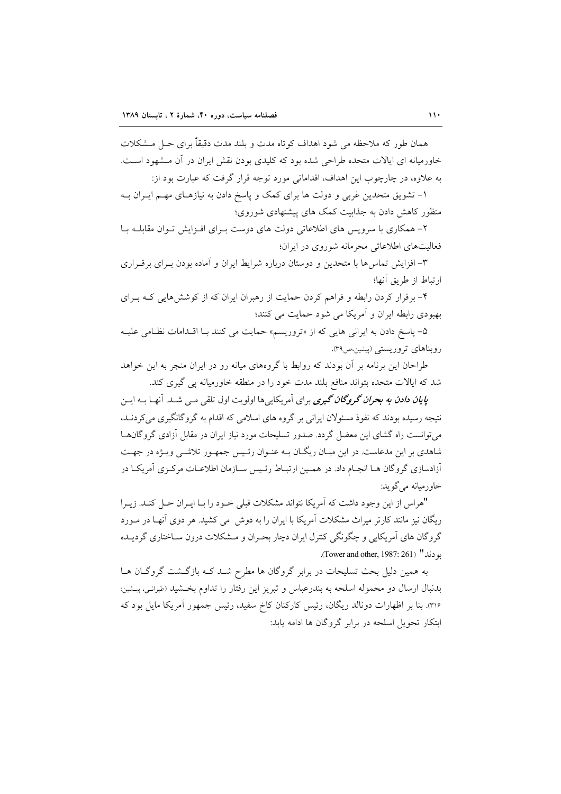همان طور که ملاحظه می شود اهداف کو تاه مدت و بلند مدت دقیقاً برای حــل مــشکلات خاورمیانه ای ایالات متحده طراحی شده بود که کلیدی بودن نقش ایران در آن مـشهود اسـت. به علاوه، در چارچوب این اهداف، اقداماتی مورد توجه قرار گرفت که عبارت بود از:

۱– تشویق متحدین غربی و دولت ها برای کمک و پاسخ دادن به نیازهـای مهـم ایـران بـه منظور کاهش دادن به جذابیت کمک های پیشنهادی شوروی؛

۲– همکاری با سرویس های اطلاعاتی دولت های دوست بـرای افـزایش تـوان مقابلــه بــا فعالیتهای اطلاعاتی محرمانه شوروی در ایران؛

۳– افزایش تماس ها با متحدین و دوستان درباره شرایط ایران و آماده بودن بـرای برقـراری ارتباط از طريق أنها؛

۴- برقرار کردن رابطه و فراهم کردن حمایت از رهبران ایران که از کوشش هایی کـه بـرای بهبودي رابطه ايران و آمريكا مي شود حمايت مي كنند؛

۵- پاسخ دادن به ایرانی هایی که از «تروریسم» حمایت می کنند بـا اقلدامات نظامی علیـه روبناهای تروریستی (پیشین،ص۳۹).

طراحان این برنامه بر آن بودند که روابط با گروههای میانه رو در ایران منجر به این خواهد شد که ایالات متحده بتواند منافع بلند مدت خود را در منطقه خاورمیانه پی گیری کند.

**ی***ایان دادن به بحران گروگان گیری بر***ای آمریکاییها اولویت اول تلقی مــی شــد. آنهــا بــه ایــن** نتیجه رسیده بودند که نفوذ مسئولان ایرانی بر گروه های اسلامی که اقدام به گروگانگیری می کردنـد. می توانست راه گشای این معضل گردد. صدور تسلیحات مورد نیاز ایران در مقابل آزادی گروگانهـا شاهدی بر این مدعاست. در این میـان ریگـان بــه عنــوان رئــیس جمهــور تلاشــی ویــژه در جهــت أزادسازي گروگان هـا انجـام داد. در همـين ارتبـاط رئـيس سـازمان اطلاعـات مركـزى آمريكـا در خاورميانه مي گويد:

"هراس از این وجود داشت که آمریکا نتواند مشکلات قبلی خـود را بـا ایـران حـل کنـد. زیـرا ریگان نیز مانند کارتر میراث مشکلات آمریکا با ایران را به دوش ٍ می کشید. هر دوی آنهـا در مــورد گروگان های آمریکایی و چگونگی کنترل ایران دچار بحـران و مـشکلات درون سـاختاری گردیــده بو دند" (Tower and other, 1987: 261).

به همین دلیل بحث تسلیحات در برابر گروگان ها مطرح شـد کـه بازگـشت گروگـان هـا بدنبال ارسال دو محموله اسلحه به بندرعباس و تبریز این رفتار را تداوم بخـشید (طیرانـی، پیـشین: ٣١۶). بنا بر اظهارات دونالد ريگان، رئيس كاركنان كاخ سفيد، رئيس جمهور آمريكا مايل بود كه ابتکار تحویل اسلحه در برابر گروگان ها ادامه یابد: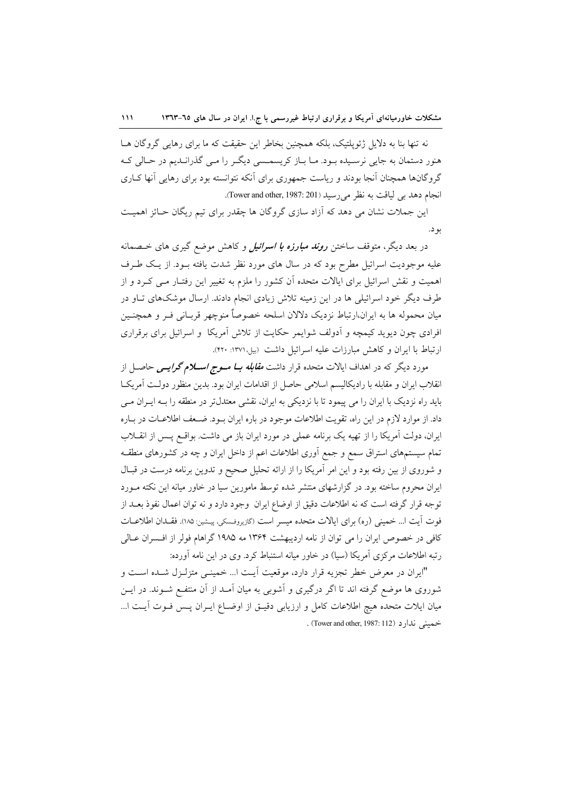نه تنها بنا به دلایل ژئوپلتیک، بلکه همچنین بخاطر این حقیقت که ما برای رهایی گروگان هــا هنور دستمان به جایی نرسیده بود. مـا بـاز کریسمـسی دیگـر را مـی گذرانـدیم در حـالی کـه گروگانها همچنان آنجا بودند و ریاست جمهوری برای آنکه نتوانسته بود برای رهایی آنها کـاری انجام دهد بی لیاقت به نظر می رسید (Tower and other, 1987: 201).

این جملات نشان می دهد که آزاد سازی گروگان ها چقدر برای تیم ریگان حـائز اهمیـت بو د.

در بعد دیگر، متوقف ساختن *روند مبارزه با اسرائیل و* کاهش موضع گیری های خسصانه علیه موجودیت اسرائیل مطرح بود که در سال های مورد نظر شدت یافته بــود. از یــک طــرف اهمیت و نقش اسرائیل برای ایالات متحده آن کشور را ملزم به تغییر این رفتـار مـی کـرد و از طرف دیگر خود اسرائیلی ها در این زمینه تلاش زیادی انجام دادند. ارسال موشکهای تـاو در میان محموله ها به ایران،ارتباط نزدیک دلالان اسلحه خصوصاً منوچهر قربـانی فـر و همچنــین افرادی چون دیوید کیمچه و آدولف شوایمر حکایت از تلاش آمریکا و اسرائیل برای برقراری ارتباط با ایران و کاهش مبارزات علیه اسرائیل داشت (بیل ۱۳۷۱: ۴۲۰).

مورد دیگر که در اهداف ایالات متحده قرار داشت *مقابله بــا مــوج اســـلام گرایـــی* حاصــل از انقلاب ایران و مقابله با رادیکالیسم اسلامی حاصل از اقدامات ایران بود. بدین منظور دولت آمریکا باید راه نزدیک با ایران را می پیمود تا با نزدیکی به ایران، نقشی معتدلتر در منطقه را بـه ایــران مــی داد. از موارد لازم در این راه، تقویت اطلاعات موجود در باره ایران بـود. ضـعف اطلاعـات در بـاره ایران، دولت آمریکا را از تهیه یک برنامه عملی در مورد ایران باز می داشت. بواقع پس از انقلاب تمام سیستمهای استراق سمع و جمع آوری اطلاعات اعم از داخل ایران و چه در کشورهای منطقـه و شوروی از بین رفته بود و این امر آمریکا را از ارائه تحلیل صحیح و تدوین برنامه درست در قبـال ایران محروم ساخته بود. در گزارشهای منتشر شده توسط مامورین سیا در خاور میانه این نکته مـورد توجه قرار گرفته است كه نه اطلاعات دقیق از اوضاع ایران وجود دارد و نه توان اعمال نفوذ بعــد از فوت آيت ا… خميني (ره) براي ايالات متحده ميسر است (گازيروفسكي، پيشين: ١٨٥). فقـدان اطلاعــات كافي در خصوص ايران را مي توان از نامه ارديبهشت ١٣۶۴ مه ١٩٨۵ گراهام فولر از افـسران عـالي رتبه اطلاعات مرکزی آمریکا (سیا) در خاور میانه استنباط کرد. وی در این نامه آورده:

"ایران در معرض خطر تجزیه قرار دارد، موقعیت آیـت ا... خمینــی متزلـزل شــده اســت و شوروی ها موضع گرفته اند تا اگر درگیری و آشوبی به میان آمـد از آن منتفـع شــوند. در ایــن میان ایلات متحده هیچ اطلاعات کامل و ارزیابی دقیـق از اوضـاع ایـران پـس فـوت آیـت ا... خميني ندارد (Tower and other, 1987: 112) .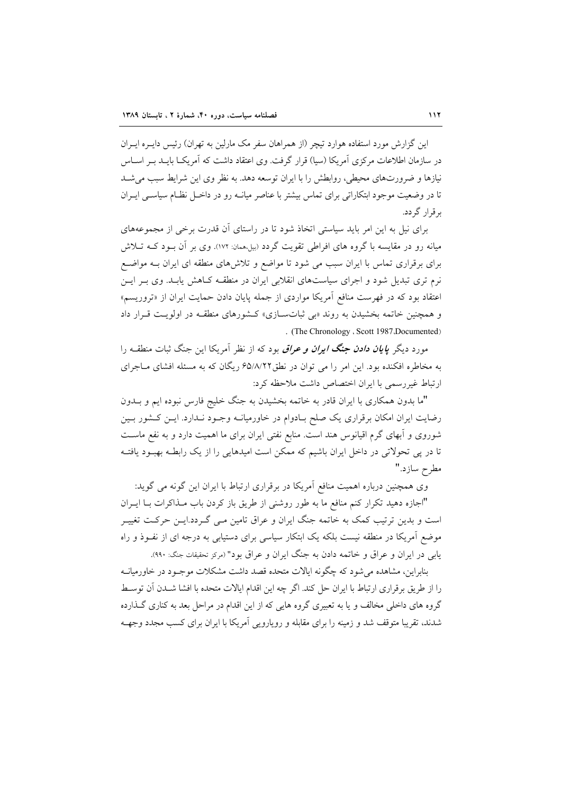این گزارش مورد استفاده هوارد تبچر (از همراهان سفر مک مارلین به تهران) رئیس دایــره ایــران در سازمان اطلاعات مرکزی آمریکا (سیا) قرار گرفت. وی اعتقاد داشت که آمریکــا بایــد بــر اســاس نیازها و ضرورتهای محیطی، روابطش را با ایران توسعه دهد. به نظر وی این شرایط سبب می شـد تا در وضعیت موجود ابتکاراتی برای تماس بیشتر با عناصر میانــه رو در داخــل نظــام سیاســی ایــران برقرار گردد.

برای نیل به این امر باید سیاستی اتخاذ شود تا در راستای آن قدرت برخی از مجموعههای میانه رو در مقایسه با گروه های افراطی تقویت گردد (بیل،همان: ۱۷۲). وی بر آن بـود کــه تــلاش برای برقراری تماس با ایران سبب می شود تا مواضع و تلاش های منطقه ای ایران بـه مواضـع نرم تری تبدیل شود و اجرای سیاستهای انقلابی ایران در منطقــه کــاهش یابــد. وی بــر ایــن اعتقاد بود که در فهرست منافع آمریکا مواردی از جمله پایان دادن حمایت ایران از «تروریسم» و همچنین خاتمه بخشیدن به روند «بی ثباتسازی» کـشورهای منطقـه در اولویـت قـرار داد . (The Chronology ، Scott 1987، Documented)

مورد دیگر **ی***ایان دادن جنگ ایران و عراق* بود که از نظر آمریکا این جنگ ثبات منطقــه را به مخاطره افکنده بود. این امر را می توان در نطق۷۸/۲۲ ریگان که به مسئله افشای مـاجرای ارتباط غیر رسمی با ایران اختصاص داشت ملاحظه کرد:

"ما بدون همکاری با ایران قادر به خاتمه بخشیدن به جنگ خلیج فارس نبوده ایم و بــدون رضایت ایران امکان برقراری یک صلح بـادوام در خاورمیانــه وجـود نــدارد. ایــن کــشور بــین شوروی و اَبهای گرم اقیانوس هند است. منابع نفتی ایران برای ما اهمیت دارد و به نفع ماسـت تا در پی تحولاتی در داخل ایران باشیم که ممکن است امیدهایی را از یک رابطـه بهبـود یافتـه مطرح سازد."

وی همچنین درباره اهمیت منافع آمریکا در برقراری ارتباط با ایران این گونه می گوید:

"اجازه دهید تکرار کنم منافع ما به طور روشنی از طریق باز کردن باب مـذاکرات بــا ایــران است و بدین ترتیب کمک به خاتمه جنگ ایران و عراق تامین مـی گـردد.ایـن حرکـت تغییـر موضع آمریکا در منطقه نیست بلکه یک ابتکار سیاسی برای دستیابی به درجه ای از نفـوذ و راه يابي در ايران و عراق و خاتمه دادن به جنگ ايران و عراق بود" (مركز تحقيقات جنگ: ٩٩٠).

بنابراین، مشاهده می شود که چگونه ایالات متحده قصد داشت مشکلات موجـود در خاورمیانــه را از طريق برقراري ارتباط با ايران حل كند. اگر چه اين اقدام ايالات متحده با افشا شـدن آن توسـط گروه های داخلی مخالف و یا به تعبیری گروه هایی که از این اقدام در مراحل بعد به کناری گـذارده شدند، تقریبا متوقف شد و زمینه را برای مقابله و رویارویی آمریکا با ایران برای کسب مجدد وجهـه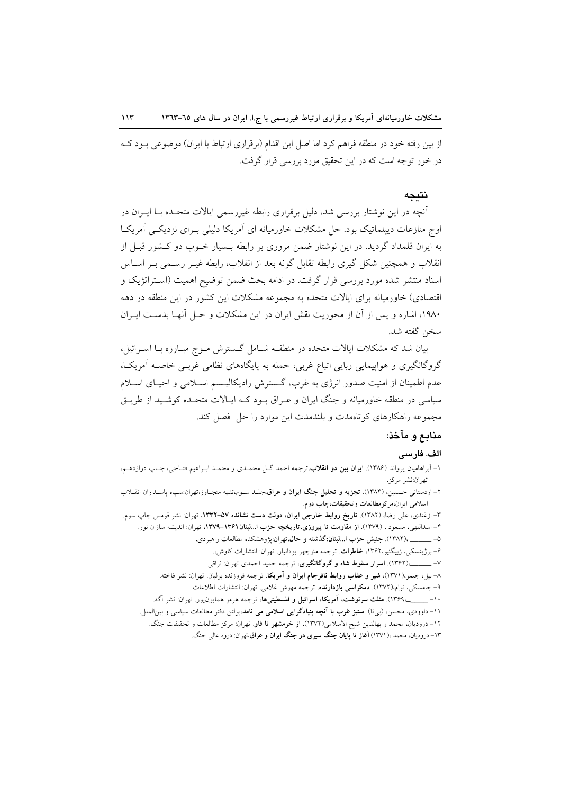از بین رفته خود در منطقه فراهم کرد اما اصل این اقدام (برقراری ارتباط با ایران) موضوعی بـود کـه در خور توجه است که در این تحقیق مورد بررسی قرار گرفت.

#### نتىحە

آنچه در این نوشتار بررسی شد، دلیل برقراری رابطه غیررسمی ایالات متحـده بــا ایــران در اوج منازعات دیپلماتیک بود. حل مشکلات خاورمیانه ای آمریکا دلیلی بـرای نزدیکـی آمریکـا به ایران قلمداد گردید. در این نوشتار ضمن مروری بر رابطه بـسیار خــوب دو کــشور قبــل از انقلاب و همچنین شکل گیری رابطه تقابل گونه بعد از انقلاب، رابطه غیــر رســمی بــر اســاس اسناد منتشر شده مورد بررسی قرار گرفت. در ادامه بحث ضمن توضیح اهمیت (استراتژیک و اقتصادی) خاورمیانه برای ایالات متحده به مجموعه مشکلات این کشور در این منطقه در دهه ۱۹۸۰، اشاره و پس از آن از محوریت نقش ایران در این مشکلات و حـل آنهـا بدسـت ایـران سخن گفته شد.

بیان شد که مشکلات ایالات متحده در منطقـه شـامل گـسترش مـوج مبـارزه بـا اسـرائیل، گروگانگیری و هواپیمایی ربایی اتباع غربی، حمله به پایگاههای نظامی غربـی خاصـه آمریکـا، عدم اطمینان از امنیت صدور انرژی به غرب، گسترش رادیکالیسم اسـلامی و احیـای اسـلام سیاسی در منطقه خاورمیانه و جنگ ایران و عـراق بـود کـه ایـالات متحـده کوشـید از طریـق مجموعه راهکارهای کوتاهمدت و بلندمدت این موارد را حل فصل کند.

### منابع و مآخذ:

### الف. فارسى

۱- آبراهامیان یرواند (۱۳۸۶). **ایران بین دو انقلاب**،ترجمه احمد گـل محمـدی و محمـد ابـراهیم فتـاحی، چـاپ دوازدهـم، تهران:نشر مركز.

۲– اردستان<sub>ی</sub> حسمین، (۱۳۸۴). **تجزیه و تحلیل جنگ ایران و عراق**،جلـد سـوم،تنبیه متجـاوز،تهران:سـپاه پاسـداران انقــلاب اسلامي ايران،مركزمطالعات وتحقيقات،چاپ دوم.

۳– ازغندی، علی رضا، (۱۳۸۲). **تاریخ روابط خارجی ایران، دولت دست نشانده ۵۷–۱۳۳۲**، تهران: نشر قومس چاپ سوم. ۴– اسداللهی، مسعود ، (۱۳۷۹). **از مقاومت تا پیروزی،تاریخچه حزب ا…لبنان۱۳۶۱–۱۳۷۹**، تهران: اندیشه سازان نور. \_\_\_ ،(١٣٨٢). جنبش حزب ا…لبنان؛گذشته و حال،تهران:پژوهشکده مطالعات راهبردی.  $\overline{\phantom{0}}$  -  $\circ$ 

۶- برژینسکی، زبیگنیو،۱۳۶۲، **خاطرات**. ترجمه منوچهر یزدانیار. تهران: انتشارات کاوش.

٧- \_\_\_\_\_\_(١٣۶٢). اسرار سقوط شاه و گروگانگیری، ترجمه حمید احمدی تهران: نراقی.

٨- بيل، جيمز،(١٣٧١)، **شير و عقاب روابط نافرجام ايران و آمريك**ا. ترجمه فروزنده برليان. تهران: نشر فاخته.

۹– چامسکی، نوام،(۱۳۷۲). **دمکراسی بازدارنده**. ترجمه مهوش غلامی. تهران: انتشارات اطلاعات.

۱۰– \_\_\_\_\_\_>۱۳۶۹). مثلث **سرنوشت، آمریکا، اسرائیل و فلسطینیها،** ترجمه هرمز همایون،پور. تهران: نشر آگه. ۱۱- داوودی، محسن، (ب<sub>ی</sub>تا). **ستیز غرب با اَنچه بنیادگرایی اسلامی می نامد**،بولتن دفتر مطالعات سیاسی و بین|لملل. ۱۲- درودیان، محمد و بهالدین شیخ الاسلامی(۱۳۷۲). **از خرمشهر تا فاو**. تهران: مرکز مطالعات و تحقیقات جنگ.

۱۳- درودیان، محمد ،( ۱۳۷۱).آ**غاز تا پایان جنگ سیری در جنگ ایران و عراق**،تهران: دروه عال<sub>ی</sub> جنگ.